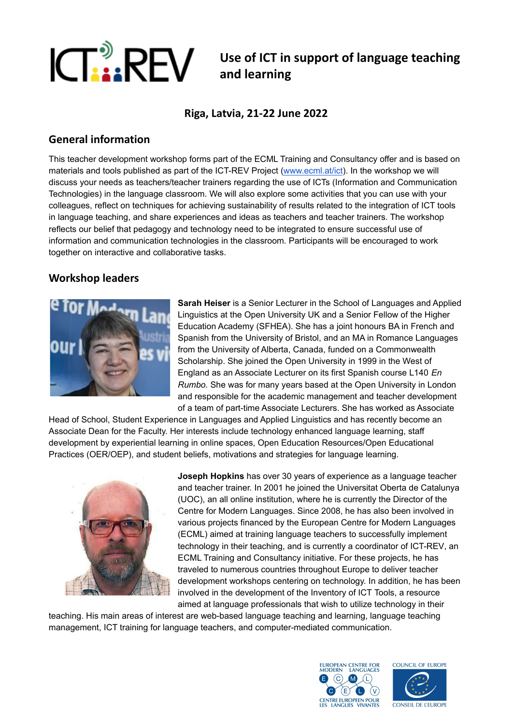

# **ICT is a REV** use of ICT in support of language teaching **and learning**

**Riga, Latvia, 21-22 June 2022**

## **General information**

This teacher development workshop forms part of the ECML Training and Consultancy offer and is based on materials and tools published as part of the ICT-REV Project [\(www.ecml.at/ict](http://www.ecml.at/ict)). In the workshop we will discuss your needs as teachers/teacher trainers regarding the use of ICTs (Information and Communication Technologies) in the language classroom. We will also explore some activities that you can use with your colleagues, reflect on techniques for achieving sustainability of results related to the integration of ICT tools in language teaching, and share experiences and ideas as teachers and teacher trainers. The workshop reflects our belief that pedagogy and technology need to be integrated to ensure successful use of information and communication technologies in the classroom. Participants will be encouraged to work together on interactive and collaborative tasks.

## **Workshop leaders**



**Sarah Heiser** is a Senior Lecturer in the School of Languages and Applied Linguistics at the Open University UK and a Senior Fellow of the Higher Education Academy (SFHEA). She has a joint honours BA in French and Spanish from the University of Bristol, and an MA in Romance Languages from the University of Alberta, Canada, funded on a Commonwealth Scholarship. She joined the Open University in 1999 in the West of England as an Associate Lecturer on its first Spanish course L140 *En Rumbo.* She was for many years based at the Open University in London and responsible for the academic management and teacher development of a team of part-time Associate Lecturers. She has worked as Associate

Head of School, Student Experience in Languages and Applied Linguistics and has recently become an Associate Dean for the Faculty. Her interests include technology enhanced language learning, staff development by experiential learning in online spaces, Open Education Resources/Open Educational Practices (OER/OEP), and student beliefs, motivations and strategies for language learning.



**Joseph Hopkins** has over 30 years of experience as a language teacher and teacher trainer. In 2001 he joined the [Universitat](https://www.uoc.edu/portal/en/index.html) Oberta de Catalunya (UOC), an all online institution, where he is currently the Director of the Centre for Modern Languages. Since 2008, he has also been involved in various projects financed by the European Centre for Modern [Languages](https://www.ecml.at/) (ECML) aimed at training language teachers to successfully implement technology in their teaching, and is currently a coordinator of [ICT-REV](https://www.ecml.at/TrainingConsultancy/ICT-REV/tabid/1725/language/en-GB/Default.aspx), an ECML Training and Consultancy initiative. For these projects, he has traveled to numerous countries throughout Europe to deliver teacher development workshops centering on technology. In addition, he has been involved in the development of the [Inventory](https://www.ecml.at/ECML-Programme/Programme2012-2015/ICT-REVandmoreDOTS/ICT/tabid/1906/Default.aspx) of ICT Tools, a resource aimed at language professionals that wish to utilize technology in their

teaching. His main areas of interest are web-based language teaching and learning, language teaching management, ICT training for language teachers, and computer-mediated communication.